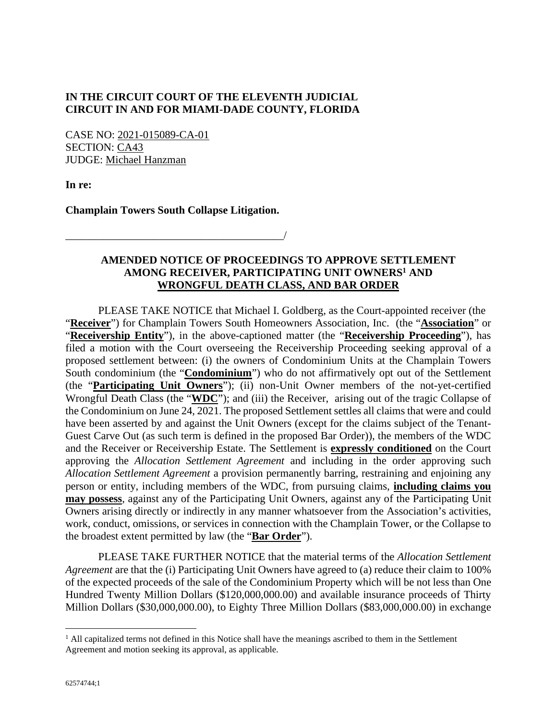## **IN THE CIRCUIT COURT OF THE ELEVENTH JUDICIAL CIRCUIT IN AND FOR MIAMI-DADE COUNTY, FLORIDA**

CASE NO: 2021-015089-CA-01 SECTION: CA43 JUDGE: Michael Hanzman

**In re:** 

**Champlain Towers South Collapse Litigation.** 

\_\_\_\_\_\_\_\_\_\_\_\_\_\_\_\_\_\_\_\_\_\_\_\_\_\_\_\_\_\_\_\_\_\_\_\_\_\_\_\_/

## **AMENDED NOTICE OF PROCEEDINGS TO APPROVE SETTLEMENT AMONG RECEIVER, PARTICIPATING UNIT OWNERS<sup>1</sup> AND WRONGFUL DEATH CLASS, AND BAR ORDER**

PLEASE TAKE NOTICE that Michael I. Goldberg, as the Court-appointed receiver (the "**Receiver**") for Champlain Towers South Homeowners Association, Inc. (the "**Association**" or "**Receivership Entity**"), in the above-captioned matter (the "**Receivership Proceeding**"), has filed a motion with the Court overseeing the Receivership Proceeding seeking approval of a proposed settlement between: (i) the owners of Condominium Units at the Champlain Towers South condominium (the "**Condominium**") who do not affirmatively opt out of the Settlement (the "**Participating Unit Owners**"); (ii) non-Unit Owner members of the not-yet-certified Wrongful Death Class (the "**WDC**"); and (iii) the Receiver, arising out of the tragic Collapse of the Condominium on June 24, 2021. The proposed Settlement settles all claims that were and could have been asserted by and against the Unit Owners (except for the claims subject of the Tenant-Guest Carve Out (as such term is defined in the proposed Bar Order)), the members of the WDC and the Receiver or Receivership Estate. The Settlement is **expressly conditioned** on the Court approving the *Allocation Settlement Agreement* and including in the order approving such *Allocation Settlement Agreement* a provision permanently barring, restraining and enjoining any person or entity, including members of the WDC, from pursuing claims, **including claims you may possess**, against any of the Participating Unit Owners, against any of the Participating Unit Owners arising directly or indirectly in any manner whatsoever from the Association's activities, work, conduct, omissions, or services in connection with the Champlain Tower, or the Collapse to the broadest extent permitted by law (the "**Bar Order**").

PLEASE TAKE FURTHER NOTICE that the material terms of the *Allocation Settlement Agreement* are that the (i) Participating Unit Owners have agreed to (a) reduce their claim to 100% of the expected proceeds of the sale of the Condominium Property which will be not less than One Hundred Twenty Million Dollars (\$120,000,000.00) and available insurance proceeds of Thirty Million Dollars (\$30,000,000.00), to Eighty Three Million Dollars (\$83,000,000.00) in exchange

<sup>&</sup>lt;sup>1</sup> All capitalized terms not defined in this Notice shall have the meanings ascribed to them in the Settlement Agreement and motion seeking its approval, as applicable.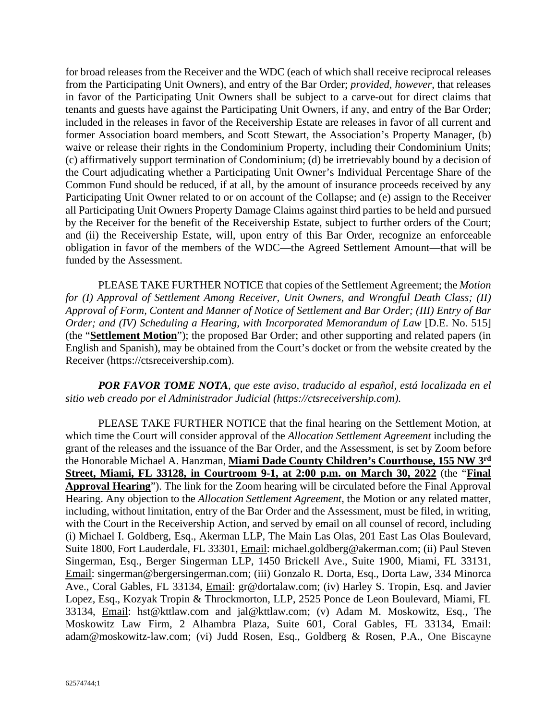for broad releases from the Receiver and the WDC (each of which shall receive reciprocal releases from the Participating Unit Owners), and entry of the Bar Order; *provided*, *however*, that releases in favor of the Participating Unit Owners shall be subject to a carve-out for direct claims that tenants and guests have against the Participating Unit Owners, if any, and entry of the Bar Order; included in the releases in favor of the Receivership Estate are releases in favor of all current and former Association board members, and Scott Stewart, the Association's Property Manager, (b) waive or release their rights in the Condominium Property, including their Condominium Units; (c) affirmatively support termination of Condominium; (d) be irretrievably bound by a decision of the Court adjudicating whether a Participating Unit Owner's Individual Percentage Share of the Common Fund should be reduced, if at all, by the amount of insurance proceeds received by any Participating Unit Owner related to or on account of the Collapse; and (e) assign to the Receiver all Participating Unit Owners Property Damage Claims against third parties to be held and pursued by the Receiver for the benefit of the Receivership Estate, subject to further orders of the Court; and (ii) the Receivership Estate, will, upon entry of this Bar Order, recognize an enforceable obligation in favor of the members of the WDC—the Agreed Settlement Amount—that will be funded by the Assessment.

PLEASE TAKE FURTHER NOTICE that copies of the Settlement Agreement; the *Motion for (I) Approval of Settlement Among Receiver, Unit Owners, and Wrongful Death Class; (II) Approval of Form, Content and Manner of Notice of Settlement and Bar Order; (III) Entry of Bar Order; and (IV) Scheduling a Hearing, with Incorporated Memorandum of Law* [D.E. No. 515] (the "**Settlement Motion**"); the proposed Bar Order; and other supporting and related papers (in English and Spanish), may be obtained from the Court's docket or from the website created by the Receiver (https://ctsreceivership.com).

*POR FAVOR TOME NOTA, que este aviso, traducido al español, está localizada en el sitio web creado por el Administrador Judicial (https://ctsreceivership.com).* 

PLEASE TAKE FURTHER NOTICE that the final hearing on the Settlement Motion, at which time the Court will consider approval of the *Allocation Settlement Agreement* including the grant of the releases and the issuance of the Bar Order, and the Assessment, is set by Zoom before the Honorable Michael A. Hanzman, **Miami Dade County Children's Courthouse, 155 NW 3rd Street, Miami, FL 33128, in Courtroom 9-1, at 2:00 p.m. on March 30, 2022** (the "**Final Approval Hearing**"). The link for the Zoom hearing will be circulated before the Final Approval Hearing. Any objection to the *Allocation Settlement Agreement*, the Motion or any related matter, including, without limitation, entry of the Bar Order and the Assessment, must be filed, in writing, with the Court in the Receivership Action, and served by email on all counsel of record, including (i) Michael I. Goldberg, Esq., Akerman LLP, The Main Las Olas, 201 East Las Olas Boulevard, Suite 1800, Fort Lauderdale, FL 33301, Email: michael.goldberg@akerman.com; (ii) Paul Steven Singerman, Esq., Berger Singerman LLP, 1450 Brickell Ave., Suite 1900, Miami, FL 33131, Email: singerman@bergersingerman.com; (iii) Gonzalo R. Dorta, Esq., Dorta Law, 334 Minorca Ave., Coral Gables, FL 33134, Email: gr@dortalaw.com; (iv) Harley S. Tropin, Esq. and Javier Lopez, Esq., Kozyak Tropin & Throckmorton, LLP, 2525 Ponce de Leon Boulevard, Miami, FL 33134, Email: hst@kttlaw.com and jal@kttlaw.com; (v) Adam M. Moskowitz, Esq., The Moskowitz Law Firm, 2 Alhambra Plaza, Suite 601, Coral Gables, FL 33134, Email: adam@moskowitz-law.com; (vi) Judd Rosen, Esq., Goldberg & Rosen, P.A., One Biscayne